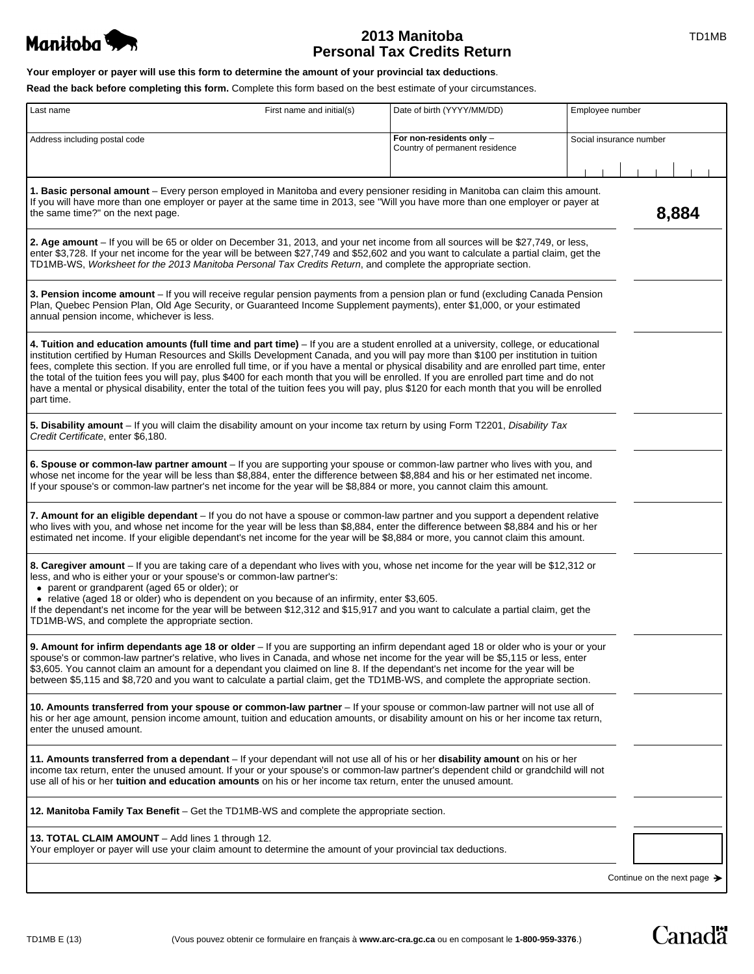

# **2013 Manitoba TD1MB Personal Tax Credits Return**

**Canadä** 

| Your employer or payer will use this form to determine the amount of your provincial tax deductions. |  |
|------------------------------------------------------------------------------------------------------|--|
|------------------------------------------------------------------------------------------------------|--|

**Read the back before completing this form.** Complete this form based on the best estimate of your circumstances.

| Last name<br>First name and initial(s)                                                                                                                                                                                                                                                                                                                                                                                                                                                                                                                                                                                                                                                                                               | Date of birth (YYYY/MM/DD)                                 | Employee number                         |
|--------------------------------------------------------------------------------------------------------------------------------------------------------------------------------------------------------------------------------------------------------------------------------------------------------------------------------------------------------------------------------------------------------------------------------------------------------------------------------------------------------------------------------------------------------------------------------------------------------------------------------------------------------------------------------------------------------------------------------------|------------------------------------------------------------|-----------------------------------------|
| Address including postal code                                                                                                                                                                                                                                                                                                                                                                                                                                                                                                                                                                                                                                                                                                        | For non-residents only -<br>Country of permanent residence | Social insurance number                 |
| 1. Basic personal amount – Every person employed in Manitoba and every pensioner residing in Manitoba can claim this amount.<br>If you will have more than one employer or payer at the same time in 2013, see "Will you have more than one employer or payer at<br>the same time?" on the next page.                                                                                                                                                                                                                                                                                                                                                                                                                                |                                                            | 8,884                                   |
| 2. Age amount – If you will be 65 or older on December 31, 2013, and your net income from all sources will be \$27,749, or less,<br>enter \$3,728. If your net income for the year will be between \$27,749 and \$52,602 and you want to calculate a partial claim, get the<br>TD1MB-WS, Worksheet for the 2013 Manitoba Personal Tax Credits Return, and complete the appropriate section.                                                                                                                                                                                                                                                                                                                                          |                                                            |                                         |
| 3. Pension income amount – If you will receive regular pension payments from a pension plan or fund (excluding Canada Pension<br>Plan, Quebec Pension Plan, Old Age Security, or Guaranteed Income Supplement payments), enter \$1,000, or your estimated<br>annual pension income, whichever is less.                                                                                                                                                                                                                                                                                                                                                                                                                               |                                                            |                                         |
| 4. Tuition and education amounts (full time and part time) - If you are a student enrolled at a university, college, or educational<br>institution certified by Human Resources and Skills Development Canada, and you will pay more than \$100 per institution in tuition<br>fees, complete this section. If you are enrolled full time, or if you have a mental or physical disability and are enrolled part time, enter<br>the total of the tuition fees you will pay, plus \$400 for each month that you will be enrolled. If you are enrolled part time and do not<br>have a mental or physical disability, enter the total of the tuition fees you will pay, plus \$120 for each month that you will be enrolled<br>part time. |                                                            |                                         |
| 5. Disability amount - If you will claim the disability amount on your income tax return by using Form T2201, Disability Tax<br>Credit Certificate, enter \$6,180.                                                                                                                                                                                                                                                                                                                                                                                                                                                                                                                                                                   |                                                            |                                         |
| 6. Spouse or common-law partner amount - If you are supporting your spouse or common-law partner who lives with you, and<br>whose net income for the year will be less than \$8,884, enter the difference between \$8,884 and his or her estimated net income.<br>If your spouse's or common-law partner's net income for the year will be \$8,884 or more, you cannot claim this amount.                                                                                                                                                                                                                                                                                                                                            |                                                            |                                         |
| 7. Amount for an eligible dependant – If you do not have a spouse or common-law partner and you support a dependent relative<br>who lives with you, and whose net income for the year will be less than \$8,884, enter the difference between \$8,884 and his or her<br>estimated net income. If your eligible dependant's net income for the year will be \$8,884 or more, you cannot claim this amount.                                                                                                                                                                                                                                                                                                                            |                                                            |                                         |
| 8. Caregiver amount – If you are taking care of a dependant who lives with you, whose net income for the year will be \$12,312 or<br>less, and who is either your or your spouse's or common-law partner's:<br>• parent or grandparent (aged 65 or older); or<br>• relative (aged 18 or older) who is dependent on you because of an infirmity, enter \$3,605.<br>If the dependant's net income for the year will be between \$12,312 and \$15,917 and you want to calculate a partial claim, get the<br>TD1MB-WS, and complete the appropriate section.                                                                                                                                                                             |                                                            |                                         |
| 9. Amount for infirm dependants age 18 or older - If you are supporting an infirm dependant aged 18 or older who is your or your<br>spouse's or common-law partner's relative, who lives in Canada, and whose net income for the year will be \$5,115 or less, enter<br>\$3,605. You cannot claim an amount for a dependant you claimed on line 8. If the dependant's net income for the year will be<br>between \$5,115 and \$8,720 and you want to calculate a partial claim, get the TD1MB-WS, and complete the appropriate section.                                                                                                                                                                                              |                                                            |                                         |
| 10. Amounts transferred from your spouse or common-law partner - If your spouse or common-law partner will not use all of<br>his or her age amount, pension income amount, tuition and education amounts, or disability amount on his or her income tax return,<br>enter the unused amount.                                                                                                                                                                                                                                                                                                                                                                                                                                          |                                                            |                                         |
| 11. Amounts transferred from a dependant - If your dependant will not use all of his or her disability amount on his or her<br>income tax return, enter the unused amount. If your or your spouse's or common-law partner's dependent child or grandchild will not<br>use all of his or her <b>tuition and education amounts</b> on his or her income tax return, enter the unused amount.                                                                                                                                                                                                                                                                                                                                           |                                                            |                                         |
| 12. Manitoba Family Tax Benefit – Get the TD1MB-WS and complete the appropriate section.                                                                                                                                                                                                                                                                                                                                                                                                                                                                                                                                                                                                                                             |                                                            |                                         |
| 13. TOTAL CLAIM AMOUNT - Add lines 1 through 12.<br>Your employer or payer will use your claim amount to determine the amount of your provincial tax deductions.                                                                                                                                                                                                                                                                                                                                                                                                                                                                                                                                                                     |                                                            |                                         |
|                                                                                                                                                                                                                                                                                                                                                                                                                                                                                                                                                                                                                                                                                                                                      |                                                            | Continue on the next page $\rightarrow$ |